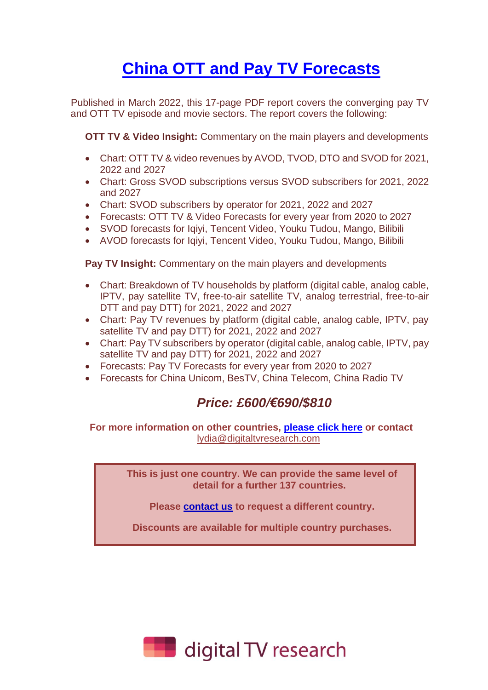## **China [OTT and Pay TV Forecasts](https://digitaltvresearch.com/product/china-ott-and-pay-tv-forecasts/)**

Published in March 2022, this 17-page PDF report covers the converging pay TV and OTT TV episode and movie sectors. The report covers the following:

**OTT TV & Video Insight:** Commentary on the main players and developments

- Chart: OTT TV & video revenues by AVOD, TVOD, DTO and SVOD for 2021, 2022 and 2027
- Chart: Gross SVOD subscriptions versus SVOD subscribers for 2021, 2022 and 2027
- Chart: SVOD subscribers by operator for 2021, 2022 and 2027
- Forecasts: OTT TV & Video Forecasts for every year from 2020 to 2027
- SVOD forecasts for Iqiyi, Tencent Video, Youku Tudou, Mango, Bilibili
- AVOD forecasts for Iqiyi, Tencent Video, Youku Tudou, Mango, Bilibili

**Pay TV Insight:** Commentary on the main players and developments

- Chart: Breakdown of TV households by platform (digital cable, analog cable, IPTV, pay satellite TV, free-to-air satellite TV, analog terrestrial, free-to-air DTT and pay DTT) for 2021, 2022 and 2027
- Chart: Pay TV revenues by platform (digital cable, analog cable, IPTV, pay satellite TV and pay DTT) for 2021, 2022 and 2027
- Chart: Pay TV subscribers by operator (digital cable, analog cable, IPTV, pay satellite TV and pay DTT) for 2021, 2022 and 2027
- Forecasts: Pay TV Forecasts for every year from 2020 to 2027
- Forecasts for China Unicom, BesTV, China Telecom, China Radio TV

## *Price: £600/€690/\$810*

**For more information on other countries, [please click here](https://www.digitaltvresearch.com/countries) or contact**  [lydia@digitaltvresearch.com](mailto:lydia@digitaltvresearch.com)

> **This is just one country. We can provide the same level of detail for a further 137 countries.**

**Please [contact us](mailto:Lydia@digitaltvresearch.com) to request a different country.** 

**Discounts are available for multiple country purchases.**

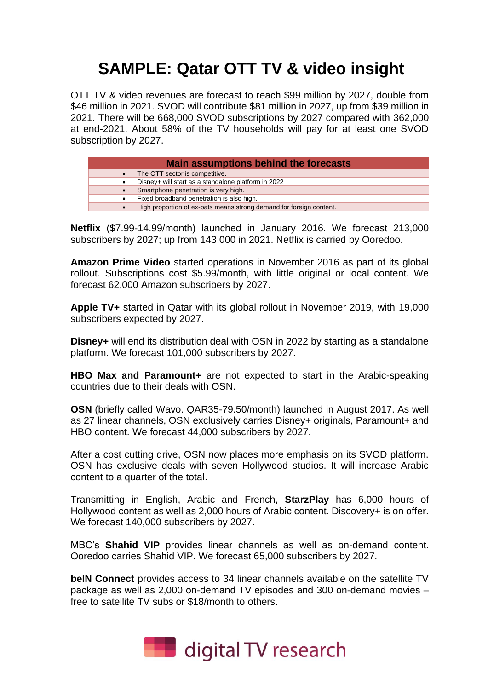## **SAMPLE: Qatar OTT TV & video insight**

OTT TV & video revenues are forecast to reach \$99 million by 2027, double from \$46 million in 2021. SVOD will contribute \$81 million in 2027, up from \$39 million in 2021. There will be 668,000 SVOD subscriptions by 2027 compared with 362,000 at end-2021. About 58% of the TV households will pay for at least one SVOD subscription by 2027.

| <b>Main assumptions behind the forecasts</b> |                                                                     |  |  |  |  |  |  |  |
|----------------------------------------------|---------------------------------------------------------------------|--|--|--|--|--|--|--|
|                                              | The OTT sector is competitive.                                      |  |  |  |  |  |  |  |
|                                              | Disney+ will start as a standalone platform in 2022                 |  |  |  |  |  |  |  |
|                                              | Smartphone penetration is very high.                                |  |  |  |  |  |  |  |
| ٠                                            | Fixed broadband penetration is also high.                           |  |  |  |  |  |  |  |
|                                              | High proportion of ex-pats means strong demand for foreign content. |  |  |  |  |  |  |  |

**Netflix** (\$7.99-14.99/month) launched in January 2016. We forecast 213,000 subscribers by 2027; up from 143,000 in 2021. Netflix is carried by Ooredoo.

**Amazon Prime Video** started operations in November 2016 as part of its global rollout. Subscriptions cost \$5.99/month, with little original or local content. We forecast 62,000 Amazon subscribers by 2027.

**Apple TV+** started in Qatar with its global rollout in November 2019, with 19,000 subscribers expected by 2027.

**Disney+** will end its distribution deal with OSN in 2022 by starting as a standalone platform. We forecast 101,000 subscribers by 2027.

**HBO Max and Paramount+** are not expected to start in the Arabic-speaking countries due to their deals with OSN.

**OSN** (briefly called Wavo. QAR35-79.50/month) launched in August 2017. As well as 27 linear channels, OSN exclusively carries Disney+ originals, Paramount+ and HBO content. We forecast 44,000 subscribers by 2027.

After a cost cutting drive, OSN now places more emphasis on its SVOD platform. OSN has exclusive deals with seven Hollywood studios. It will increase Arabic content to a quarter of the total.

Transmitting in English, Arabic and French, **StarzPlay** has 6,000 hours of Hollywood content as well as 2,000 hours of Arabic content. Discovery+ is on offer. We forecast 140,000 subscribers by 2027.

MBC's **Shahid VIP** provides linear channels as well as on-demand content. Ooredoo carries Shahid VIP. We forecast 65,000 subscribers by 2027.

**beIN Connect** provides access to 34 linear channels available on the satellite TV package as well as 2,000 on-demand TV episodes and 300 on-demand movies – free to satellite TV subs or \$18/month to others.

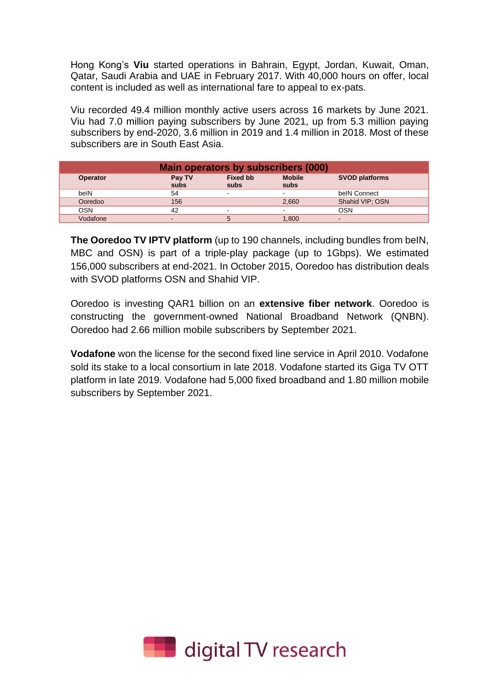Hong Kong's **Viu** started operations in Bahrain, Egypt, Jordan, Kuwait, Oman, Qatar, Saudi Arabia and UAE in February 2017. With 40,000 hours on offer, local content is included as well as international fare to appeal to ex-pats.

Viu recorded 49.4 million monthly active users across 16 markets by June 2021. Viu had 7.0 million paying subscribers by June 2021, up from 5.3 million paying subscribers by end-2020, 3.6 million in 2019 and 1.4 million in 2018. Most of these subscribers are in South East Asia.

| <b>Main operators by subscribers (000)</b> |                                                                                             |   |                          |                 |  |  |  |  |  |
|--------------------------------------------|---------------------------------------------------------------------------------------------|---|--------------------------|-----------------|--|--|--|--|--|
| <b>Operator</b>                            | <b>Mobile</b><br><b>Fixed bb</b><br><b>SVOD platforms</b><br>Pay TV<br>subs<br>subs<br>subs |   |                          |                 |  |  |  |  |  |
| belN                                       | 54                                                                                          | - |                          | belN Connect    |  |  |  |  |  |
| Ooredoo                                    | 156                                                                                         |   | 2,660                    | Shahid VIP; OSN |  |  |  |  |  |
| OSN                                        | 42                                                                                          |   | $\overline{\phantom{0}}$ | OSN             |  |  |  |  |  |
| Vodafone                                   | -                                                                                           | 5 | 1.800                    |                 |  |  |  |  |  |

**The Ooredoo TV IPTV platform** (up to 190 channels, including bundles from beIN, MBC and OSN) is part of a triple-play package (up to 1Gbps). We estimated 156,000 subscribers at end-2021. In October 2015, Ooredoo has distribution deals with SVOD platforms OSN and Shahid VIP.

Ooredoo is investing QAR1 billion on an **extensive fiber network**. Ooredoo is constructing the government-owned National Broadband Network (QNBN). Ooredoo had 2.66 million mobile subscribers by September 2021.

**Vodafone** won the license for the second fixed line service in April 2010. Vodafone sold its stake to a local consortium in late 2018. Vodafone started its Giga TV OTT platform in late 2019. Vodafone had 5,000 fixed broadband and 1.80 million mobile subscribers by September 2021.

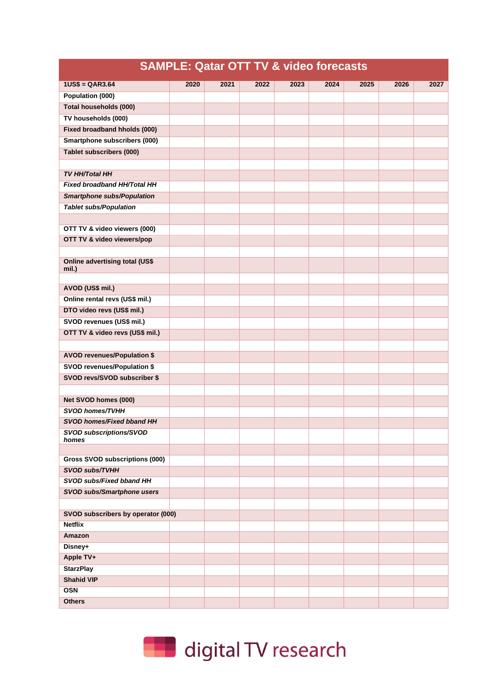|                                                                    | <b>SAMPLE: Qatar OTT TV &amp; video forecasts</b> |      |      |      |      |      |      |      |
|--------------------------------------------------------------------|---------------------------------------------------|------|------|------|------|------|------|------|
| $1US$ = QAR3.64$                                                   | 2020                                              | 2021 | 2022 | 2023 | 2024 | 2025 | 2026 | 2027 |
| Population (000)                                                   |                                                   |      |      |      |      |      |      |      |
| Total households (000)                                             |                                                   |      |      |      |      |      |      |      |
| TV households (000)                                                |                                                   |      |      |      |      |      |      |      |
| <b>Fixed broadband hholds (000)</b>                                |                                                   |      |      |      |      |      |      |      |
| <b>Smartphone subscribers (000)</b>                                |                                                   |      |      |      |      |      |      |      |
| <b>Tablet subscribers (000)</b>                                    |                                                   |      |      |      |      |      |      |      |
|                                                                    |                                                   |      |      |      |      |      |      |      |
| <b>TV HH/Total HH</b>                                              |                                                   |      |      |      |      |      |      |      |
| Fixed broadband HH/Total HH                                        |                                                   |      |      |      |      |      |      |      |
| <b>Smartphone subs/Population</b>                                  |                                                   |      |      |      |      |      |      |      |
| <b>Tablet subs/Population</b>                                      |                                                   |      |      |      |      |      |      |      |
|                                                                    |                                                   |      |      |      |      |      |      |      |
| OTT TV & video viewers (000)                                       |                                                   |      |      |      |      |      |      |      |
| OTT TV & video viewers/pop                                         |                                                   |      |      |      |      |      |      |      |
|                                                                    |                                                   |      |      |      |      |      |      |      |
| <b>Online advertising total (US\$</b><br>mil.)                     |                                                   |      |      |      |      |      |      |      |
|                                                                    |                                                   |      |      |      |      |      |      |      |
| AVOD (US\$ mil.)                                                   |                                                   |      |      |      |      |      |      |      |
| Online rental revs (US\$ mil.)                                     |                                                   |      |      |      |      |      |      |      |
| DTO video revs (US\$ mil.)                                         |                                                   |      |      |      |      |      |      |      |
| SVOD revenues (US\$ mil.)                                          |                                                   |      |      |      |      |      |      |      |
| OTT TV & video revs (US\$ mil.)                                    |                                                   |      |      |      |      |      |      |      |
|                                                                    |                                                   |      |      |      |      |      |      |      |
| <b>AVOD revenues/Population \$</b>                                 |                                                   |      |      |      |      |      |      |      |
| <b>SVOD revenues/Population \$</b>                                 |                                                   |      |      |      |      |      |      |      |
| SVOD revs/SVOD subscriber \$                                       |                                                   |      |      |      |      |      |      |      |
|                                                                    |                                                   |      |      |      |      |      |      |      |
| Net SVOD homes (000)                                               |                                                   |      |      |      |      |      |      |      |
| <b>SVOD homes/TVHH</b>                                             |                                                   |      |      |      |      |      |      |      |
| <b>SVOD homes/Fixed bband HH</b><br><b>SVOD subscriptions/SVOD</b> |                                                   |      |      |      |      |      |      |      |
| homes                                                              |                                                   |      |      |      |      |      |      |      |
| Gross SVOD subscriptions (000)                                     |                                                   |      |      |      |      |      |      |      |
| SVOD subs/TVHH                                                     |                                                   |      |      |      |      |      |      |      |
| SVOD subs/Fixed bband HH                                           |                                                   |      |      |      |      |      |      |      |
| SVOD subs/Smartphone users                                         |                                                   |      |      |      |      |      |      |      |
|                                                                    |                                                   |      |      |      |      |      |      |      |
| SVOD subscribers by operator (000)                                 |                                                   |      |      |      |      |      |      |      |
| <b>Netflix</b>                                                     |                                                   |      |      |      |      |      |      |      |
| Amazon                                                             |                                                   |      |      |      |      |      |      |      |
| Disney+                                                            |                                                   |      |      |      |      |      |      |      |
| Apple TV+                                                          |                                                   |      |      |      |      |      |      |      |
| <b>StarzPlay</b>                                                   |                                                   |      |      |      |      |      |      |      |
| <b>Shahid VIP</b>                                                  |                                                   |      |      |      |      |      |      |      |
| <b>OSN</b>                                                         |                                                   |      |      |      |      |      |      |      |
| <b>Others</b>                                                      |                                                   |      |      |      |      |      |      |      |

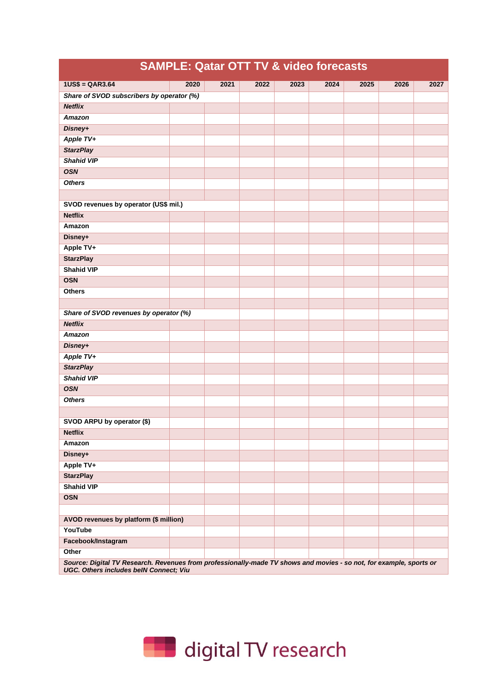| SAMPLE: Quatar UTT TV & VIDEO TOFECASTS                                                                                                                              |      |      |      |      |      |      |      |      |
|----------------------------------------------------------------------------------------------------------------------------------------------------------------------|------|------|------|------|------|------|------|------|
| $1US$ = QAR3.64$                                                                                                                                                     | 2020 | 2021 | 2022 | 2023 | 2024 | 2025 | 2026 | 2027 |
| Share of SVOD subscribers by operator (%)                                                                                                                            |      |      |      |      |      |      |      |      |
| <b>Netflix</b>                                                                                                                                                       |      |      |      |      |      |      |      |      |
| Amazon                                                                                                                                                               |      |      |      |      |      |      |      |      |
| Disney+                                                                                                                                                              |      |      |      |      |      |      |      |      |
| Apple TV+                                                                                                                                                            |      |      |      |      |      |      |      |      |
| <b>StarzPlay</b>                                                                                                                                                     |      |      |      |      |      |      |      |      |
| <b>Shahid VIP</b>                                                                                                                                                    |      |      |      |      |      |      |      |      |
| <b>OSN</b>                                                                                                                                                           |      |      |      |      |      |      |      |      |
| <b>Others</b>                                                                                                                                                        |      |      |      |      |      |      |      |      |
|                                                                                                                                                                      |      |      |      |      |      |      |      |      |
| SVOD revenues by operator (US\$ mil.)                                                                                                                                |      |      |      |      |      |      |      |      |
| <b>Netflix</b>                                                                                                                                                       |      |      |      |      |      |      |      |      |
| Amazon                                                                                                                                                               |      |      |      |      |      |      |      |      |
| Disney+                                                                                                                                                              |      |      |      |      |      |      |      |      |
| Apple TV+                                                                                                                                                            |      |      |      |      |      |      |      |      |
| <b>StarzPlay</b>                                                                                                                                                     |      |      |      |      |      |      |      |      |
| <b>Shahid VIP</b>                                                                                                                                                    |      |      |      |      |      |      |      |      |
| <b>OSN</b>                                                                                                                                                           |      |      |      |      |      |      |      |      |
| <b>Others</b>                                                                                                                                                        |      |      |      |      |      |      |      |      |
|                                                                                                                                                                      |      |      |      |      |      |      |      |      |
| Share of SVOD revenues by operator (%)                                                                                                                               |      |      |      |      |      |      |      |      |
| <b>Netflix</b>                                                                                                                                                       |      |      |      |      |      |      |      |      |
| Amazon                                                                                                                                                               |      |      |      |      |      |      |      |      |
| Disney+                                                                                                                                                              |      |      |      |      |      |      |      |      |
| Apple TV+                                                                                                                                                            |      |      |      |      |      |      |      |      |
| <b>StarzPlay</b>                                                                                                                                                     |      |      |      |      |      |      |      |      |
| <b>Shahid VIP</b>                                                                                                                                                    |      |      |      |      |      |      |      |      |
| <b>OSN</b>                                                                                                                                                           |      |      |      |      |      |      |      |      |
| <b>Others</b>                                                                                                                                                        |      |      |      |      |      |      |      |      |
|                                                                                                                                                                      |      |      |      |      |      |      |      |      |
| SVOD ARPU by operator (\$)                                                                                                                                           |      |      |      |      |      |      |      |      |
| <b>Netflix</b>                                                                                                                                                       |      |      |      |      |      |      |      |      |
| Amazon                                                                                                                                                               |      |      |      |      |      |      |      |      |
| Disney+                                                                                                                                                              |      |      |      |      |      |      |      |      |
| Apple TV+                                                                                                                                                            |      |      |      |      |      |      |      |      |
| <b>StarzPlay</b>                                                                                                                                                     |      |      |      |      |      |      |      |      |
| <b>Shahid VIP</b>                                                                                                                                                    |      |      |      |      |      |      |      |      |
| <b>OSN</b>                                                                                                                                                           |      |      |      |      |      |      |      |      |
|                                                                                                                                                                      |      |      |      |      |      |      |      |      |
| AVOD revenues by platform (\$ million)                                                                                                                               |      |      |      |      |      |      |      |      |
| YouTube                                                                                                                                                              |      |      |      |      |      |      |      |      |
| Facebook/Instagram                                                                                                                                                   |      |      |      |      |      |      |      |      |
| Other                                                                                                                                                                |      |      |      |      |      |      |      |      |
| Source: Digital TV Research. Revenues from professionally-made TV shows and movies - so not, for example, sports or<br><b>UGC. Others includes beIN Connect; Viu</b> |      |      |      |      |      |      |      |      |



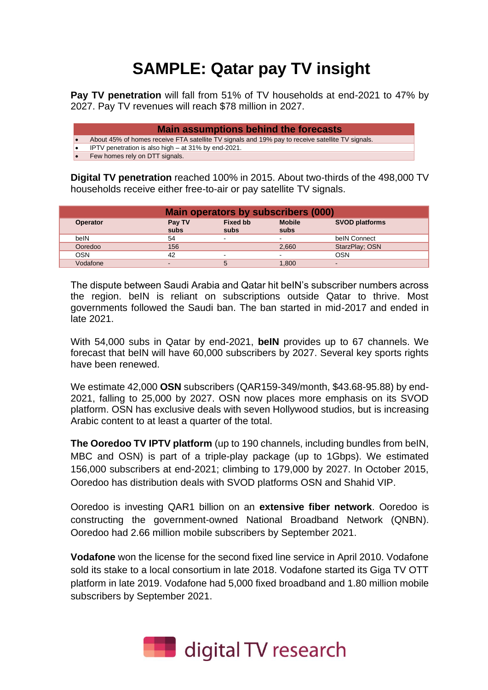## **SAMPLE: Qatar pay TV insight**

**Pay TV penetration** will fall from 51% of TV households at end-2021 to 47% by 2027. Pay TV revenues will reach \$78 million in 2027.

| <b>Main assumptions behind the forecasts</b>                                                     |
|--------------------------------------------------------------------------------------------------|
| About 45% of homes receive FTA satellite TV signals and 19% pay to receive satellite TV signals. |
| IPTV penetration is also high – at 31% by end-2021.                                              |
| Few homes rely on DTT signals.                                                                   |

**Digital TV penetration** reached 100% in 2015. About two-thirds of the 498,000 TV households receive either free-to-air or pay satellite TV signals.

| Main operators by subscribers (000)                                                                            |     |                          |                          |                |  |  |  |  |  |
|----------------------------------------------------------------------------------------------------------------|-----|--------------------------|--------------------------|----------------|--|--|--|--|--|
| <b>Mobile</b><br><b>Fixed bb</b><br><b>SVOD platforms</b><br>Pay TV<br><b>Operator</b><br>subs<br>subs<br>subs |     |                          |                          |                |  |  |  |  |  |
| belN                                                                                                           | 54  | $\overline{\phantom{a}}$ | $\blacksquare$           | belN Connect   |  |  |  |  |  |
| Ooredoo                                                                                                        | 156 |                          | 2,660                    | StarzPlay; OSN |  |  |  |  |  |
| <b>OSN</b>                                                                                                     | 42  | $\overline{\phantom{a}}$ | $\overline{\phantom{a}}$ | OSN            |  |  |  |  |  |
| Vodafone                                                                                                       |     | 5                        | 1,800                    |                |  |  |  |  |  |

The dispute between Saudi Arabia and Qatar hit beIN's subscriber numbers across the region. beIN is reliant on subscriptions outside Qatar to thrive. Most governments followed the Saudi ban. The ban started in mid-2017 and ended in late 2021.

With 54,000 subs in Qatar by end-2021, **beIN** provides up to 67 channels. We forecast that beIN will have 60,000 subscribers by 2027. Several key sports rights have been renewed.

We estimate 42,000 **OSN** subscribers (QAR159-349/month, \$43.68-95.88) by end-2021, falling to 25,000 by 2027. OSN now places more emphasis on its SVOD platform. OSN has exclusive deals with seven Hollywood studios, but is increasing Arabic content to at least a quarter of the total.

**The Ooredoo TV IPTV platform** (up to 190 channels, including bundles from beIN, MBC and OSN) is part of a triple-play package (up to 1Gbps). We estimated 156,000 subscribers at end-2021; climbing to 179,000 by 2027. In October 2015, Ooredoo has distribution deals with SVOD platforms OSN and Shahid VIP.

Ooredoo is investing QAR1 billion on an **extensive fiber network**. Ooredoo is constructing the government-owned National Broadband Network (QNBN). Ooredoo had 2.66 million mobile subscribers by September 2021.

**Vodafone** won the license for the second fixed line service in April 2010. Vodafone sold its stake to a local consortium in late 2018. Vodafone started its Giga TV OTT platform in late 2019. Vodafone had 5,000 fixed broadband and 1.80 million mobile subscribers by September 2021.

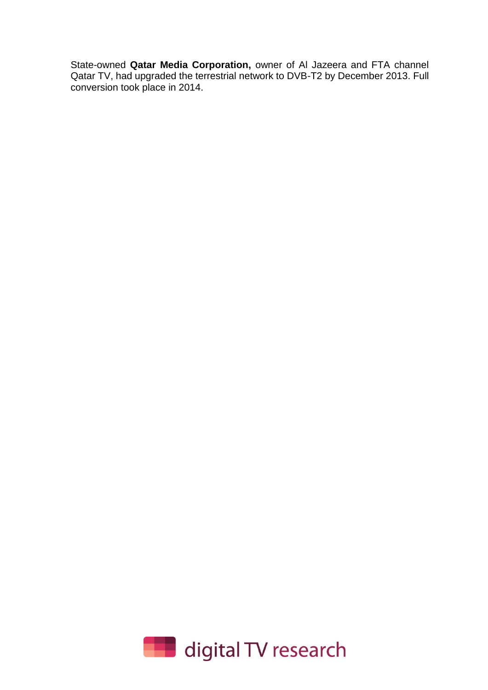State-owned **Qatar Media Corporation,** owner of Al Jazeera and FTA channel Qatar TV, had upgraded the terrestrial network to DVB-T2 by December 2013. Full conversion took place in 2014.

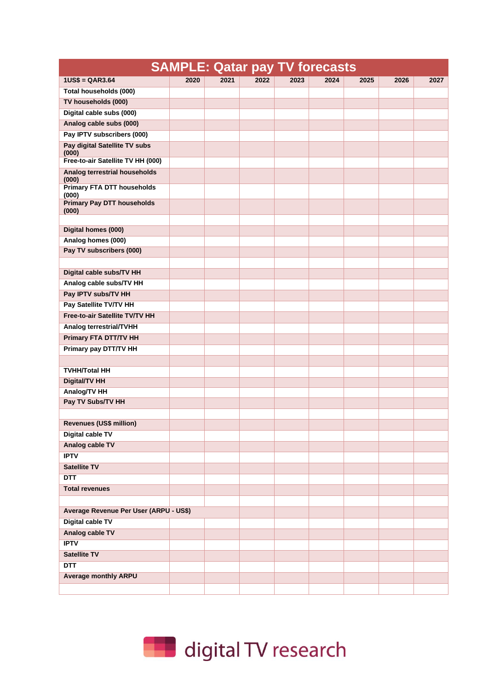|                                            | <b>SAMPLE: Qatar pay TV forecasts</b> |      |      |      |      |      |      |      |
|--------------------------------------------|---------------------------------------|------|------|------|------|------|------|------|
| $1US$ = QAR3.64$                           | 2020                                  | 2021 | 2022 | 2023 | 2024 | 2025 | 2026 | 2027 |
| Total households (000)                     |                                       |      |      |      |      |      |      |      |
| TV households (000)                        |                                       |      |      |      |      |      |      |      |
| Digital cable subs (000)                   |                                       |      |      |      |      |      |      |      |
| Analog cable subs (000)                    |                                       |      |      |      |      |      |      |      |
| Pay IPTV subscribers (000)                 |                                       |      |      |      |      |      |      |      |
| Pay digital Satellite TV subs              |                                       |      |      |      |      |      |      |      |
| (000)<br>Free-to-air Satellite TV HH (000) |                                       |      |      |      |      |      |      |      |
| <b>Analog terrestrial households</b>       |                                       |      |      |      |      |      |      |      |
| (000)<br><b>Primary FTA DTT households</b> |                                       |      |      |      |      |      |      |      |
| (000)                                      |                                       |      |      |      |      |      |      |      |
| <b>Primary Pay DTT households</b><br>(000) |                                       |      |      |      |      |      |      |      |
| Digital homes (000)                        |                                       |      |      |      |      |      |      |      |
| Analog homes (000)                         |                                       |      |      |      |      |      |      |      |
| Pay TV subscribers (000)                   |                                       |      |      |      |      |      |      |      |
|                                            |                                       |      |      |      |      |      |      |      |
| Digital cable subs/TV HH                   |                                       |      |      |      |      |      |      |      |
| Analog cable subs/TV HH                    |                                       |      |      |      |      |      |      |      |
| Pay IPTV subs/TV HH                        |                                       |      |      |      |      |      |      |      |
| Pay Satellite TV/TV HH                     |                                       |      |      |      |      |      |      |      |
| <b>Free-to-air Satellite TV/TV HH</b>      |                                       |      |      |      |      |      |      |      |
| Analog terrestrial/TVHH                    |                                       |      |      |      |      |      |      |      |
| <b>Primary FTA DTT/TV HH</b>               |                                       |      |      |      |      |      |      |      |
| Primary pay DTT/TV HH                      |                                       |      |      |      |      |      |      |      |
|                                            |                                       |      |      |      |      |      |      |      |
| <b>TVHH/Total HH</b>                       |                                       |      |      |      |      |      |      |      |
| <b>Digital/TV HH</b>                       |                                       |      |      |      |      |      |      |      |
| <b>Analog/TV HH</b>                        |                                       |      |      |      |      |      |      |      |
| Pay TV Subs/TV HH                          |                                       |      |      |      |      |      |      |      |
|                                            |                                       |      |      |      |      |      |      |      |
| Revenues (US\$ million)                    |                                       |      |      |      |      |      |      |      |
| <b>Digital cable TV</b>                    |                                       |      |      |      |      |      |      |      |
| Analog cable TV                            |                                       |      |      |      |      |      |      |      |
| <b>IPTV</b>                                |                                       |      |      |      |      |      |      |      |
| <b>Satellite TV</b>                        |                                       |      |      |      |      |      |      |      |
| <b>DTT</b>                                 |                                       |      |      |      |      |      |      |      |
| <b>Total revenues</b>                      |                                       |      |      |      |      |      |      |      |
|                                            |                                       |      |      |      |      |      |      |      |
| Average Revenue Per User (ARPU - US\$)     |                                       |      |      |      |      |      |      |      |
| <b>Digital cable TV</b>                    |                                       |      |      |      |      |      |      |      |
| <b>Analog cable TV</b>                     |                                       |      |      |      |      |      |      |      |
| <b>IPTV</b>                                |                                       |      |      |      |      |      |      |      |
| <b>Satellite TV</b>                        |                                       |      |      |      |      |      |      |      |
| <b>DTT</b>                                 |                                       |      |      |      |      |      |      |      |
| <b>Average monthly ARPU</b>                |                                       |      |      |      |      |      |      |      |
|                                            |                                       |      |      |      |      |      |      |      |